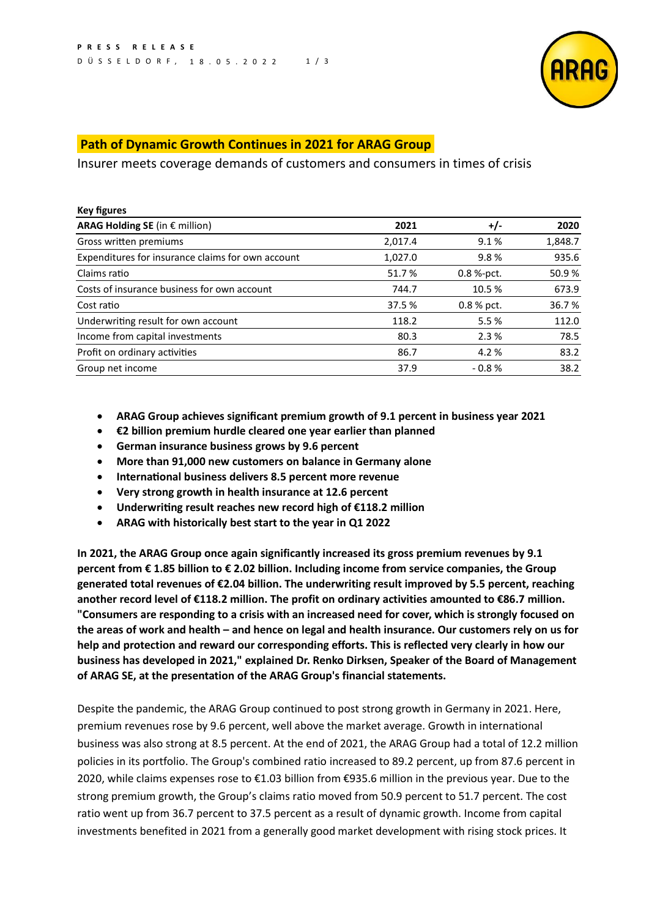

## **Path of Dynamic Growth Continues in 2021 for ARAG Group**

Insurer meets coverage demands of customers and consumers in times of crisis

| <b>Key figures</b>                                |         |            |         |
|---------------------------------------------------|---------|------------|---------|
| ARAG Holding SE (in $\epsilon$ million)           | 2021    | $+/-$      | 2020    |
| Gross written premiums                            | 2,017.4 | 9.1%       | 1,848.7 |
| Expenditures for insurance claims for own account | 1,027.0 | 9.8%       | 935.6   |
| Claims ratio                                      | 51.7%   | 0.8 %-pct. | 50.9%   |
| Costs of insurance business for own account       | 744.7   | 10.5 %     | 673.9   |
| Cost ratio                                        | 37.5 %  | 0.8 % pct. | 36.7%   |
| Underwriting result for own account               | 118.2   | 5.5 %      | 112.0   |
| Income from capital investments                   | 80.3    | 2.3%       | 78.5    |
| Profit on ordinary activities                     | 86.7    | 4.2 %      | 83.2    |
| Group net income                                  | 37.9    | $-0.8%$    | 38.2    |

- **ARAG Group achieves significant premium growth of 9.1 percent in business year 2021**
- **€2 billion premium hurdle cleared one year earlier than planned**
- **German insurance business grows by 9.6 percent**
- **More than 91,000 new customers on balance in Germany alone**
- **International business delivers 8.5 percent more revenue**
- **Very strong growth in health insurance at 12.6 percent**
- **Underwriting result reaches new record high of €118.2 million**
- **ARAG with historically best start to the year in Q1 2022**

**In 2021, the ARAG Group once again significantly increased its gross premium revenues by 9.1 percent from € 1.85 billion to € 2.02 billion. Including income from service companies, the Group generated total revenues of €2.04 billion. The underwriting result improved by 5.5 percent, reaching another record level of €118.2 million. The profit on ordinary activities amounted to €86.7 million. "Consumers are responding to a crisis with an increased need for cover, which is strongly focused on the areas of work and health – and hence on legal and health insurance. Our customers rely on us for help and protection and reward our corresponding efforts. This is reflected very clearly in how our business has developed in 2021," explained Dr. Renko Dirksen, Speaker of the Board of Management of ARAG SE, at the presentation of the ARAG Group's financial statements.**

Despite the pandemic, the ARAG Group continued to post strong growth in Germany in 2021. Here, premium revenues rose by 9.6 percent, well above the market average. Growth in international business was also strong at 8.5 percent. At the end of 2021, the ARAG Group had a total of 12.2 million policies in its portfolio. The Group's combined ratio increased to 89.2 percent, up from 87.6 percent in 2020, while claims expenses rose to €1.03 billion from €935.6 million in the previous year. Due to the strong premium growth, the Group's claims ratio moved from 50.9 percent to 51.7 percent. The cost ratio went up from 36.7 percent to 37.5 percent as a result of dynamic growth. Income from capital investments benefited in 2021 from a generally good market development with rising stock prices. It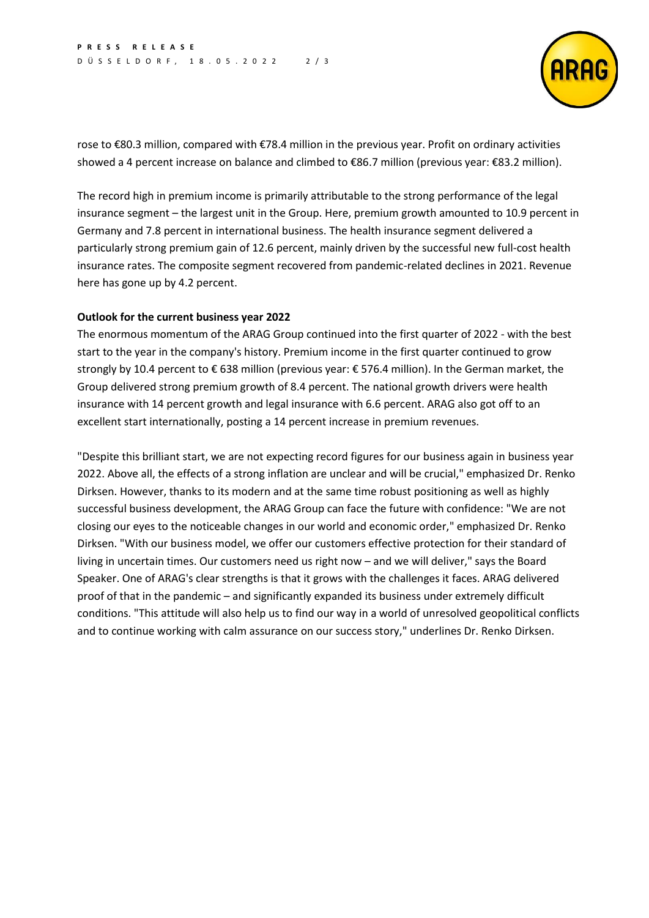

rose to €80.3 million, compared with €78.4 million in the previous year. Profit on ordinary activities showed a 4 percent increase on balance and climbed to €86.7 million (previous year: €83.2 million).

The record high in premium income is primarily attributable to the strong performance of the legal insurance segment – the largest unit in the Group. Here, premium growth amounted to 10.9 percent in Germany and 7.8 percent in international business. The health insurance segment delivered a particularly strong premium gain of 12.6 percent, mainly driven by the successful new full-cost health insurance rates. The composite segment recovered from pandemic-related declines in 2021. Revenue here has gone up by 4.2 percent.

## **Outlook for the current business year 2022**

The enormous momentum of the ARAG Group continued into the first quarter of 2022 - with the best start to the year in the company's history. Premium income in the first quarter continued to grow strongly by 10.4 percent to € 638 million (previous year: € 576.4 million). In the German market, the Group delivered strong premium growth of 8.4 percent. The national growth drivers were health insurance with 14 percent growth and legal insurance with 6.6 percent. ARAG also got off to an excellent start internationally, posting a 14 percent increase in premium revenues.

"Despite this brilliant start, we are not expecting record figures for our business again in business year 2022. Above all, the effects of a strong inflation are unclear and will be crucial," emphasized Dr. Renko Dirksen. However, thanks to its modern and at the same time robust positioning as well as highly successful business development, the ARAG Group can face the future with confidence: "We are not closing our eyes to the noticeable changes in our world and economic order," emphasized Dr. Renko Dirksen. "With our business model, we offer our customers effective protection for their standard of living in uncertain times. Our customers need us right now – and we will deliver," says the Board Speaker. One of ARAG's clear strengths is that it grows with the challenges it faces. ARAG delivered proof of that in the pandemic – and significantly expanded its business under extremely difficult conditions. "This attitude will also help us to find our way in a world of unresolved geopolitical conflicts and to continue working with calm assurance on our success story," underlines Dr. Renko Dirksen.